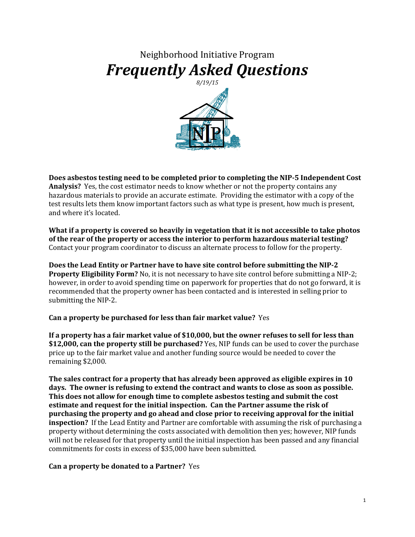## Neighborhood Initiative Program *Frequently Asked Questions*



**Does asbestos testing need to be completed prior to completing the NIP-5 Independent Cost Analysis?** Yes, the cost estimator needs to know whether or not the property contains any hazardous materials to provide an accurate estimate. Providing the estimator with a copy of the test results lets them know important factors such as what type is present, how much is present, and where it's located.

**What if a property is covered so heavily in vegetation that it is not accessible to take photos of the rear of the property or access the interior to perform hazardous material testing?** Contact your program coordinator to discuss an alternate process to follow for the property.

**Does the Lead Entity or Partner have to have site control before submitting the NIP-2 Property Eligibility Form?** No, it is not necessary to have site control before submitting a NIP-2; however, in order to avoid spending time on paperwork for properties that do not go forward, it is recommended that the property owner has been contacted and is interested in selling prior to submitting the NIP-2.

**Can a property be purchased for less than fair market value?** Yes

**If a property has a fair market value of \$10,000, but the owner refuses to sell for less than \$12,000, can the property still be purchased?** Yes, NIP funds can be used to cover the purchase price up to the fair market value and another funding source would be needed to cover the remaining \$2,000.

**The sales contract for a property that has already been approved as eligible expires in 10 days. The owner is refusing to extend the contract and wants to close as soon as possible. This does not allow for enough time to complete asbestos testing and submit the cost estimate and request for the initial inspection. Can the Partner assume the risk of purchasing the property and go ahead and close prior to receiving approval for the initial inspection?** If the Lead Entity and Partner are comfortable with assuming the risk of purchasing a property without determining the costs associated with demolition then yes; however, NIP funds will not be released for that property until the initial inspection has been passed and any financial commitments for costs in excess of \$35,000 have been submitted.

## **Can a property be donated to a Partner?** Yes